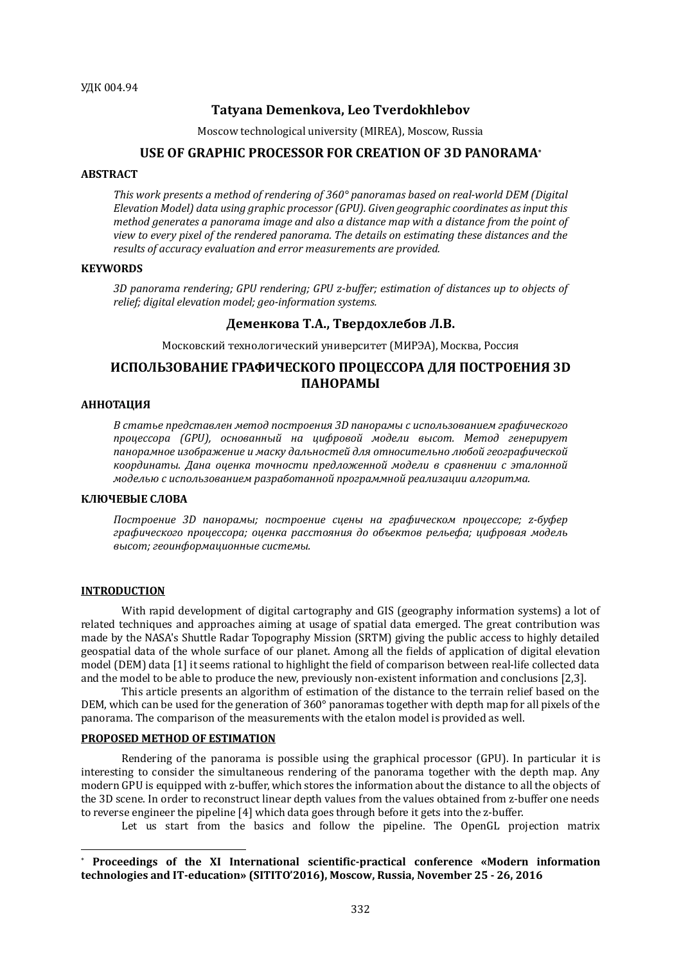# **Tatyana Demenkova, Leo Tverdokhlebov**

Moscow technological university (MIREA), Moscow, Russia

# **USE OF GRAPHIC PROCESSOR FOR CREATION OF 3D PANORAMA\***

## **ABSTRACT**

This work presents a method of rendering of 360° panoramas based on real-world DEM (Digital Elevation Model) data using graphic processor (GPU). Given geographic coordinates as input this *method aenerates a panorama image and also a distance map with a distance from the point of view to every pixel of the rendered panorama. The details on estimating these distances and the* results of accuracy evaluation and error measurements are provided.

## **KEYWORDS**

3D panorama rendering; GPU rendering; GPU z-buffer; estimation of distances up to objects of relief; digital elevation model; geo-information systems.

# **Деменкова Т.А., Твердохлебов Л.В.**

Московский технологический университет (МИРЭА), Москва, Россия

# **ИСПОЛЬЗОВАНИЕ ГРАФИЧЕСКОГО ПРОЦЕССОРА ДЛЯ ПОСТРОЕНИЯ 3D ПАНОРАМЫ**

#### **АННОТАЦИЯ**

*В статье представлен метод построения 3D панорамы с использованием графического процессора (GPU), основанный на цифровой модели высот. Метод генерирует*  панорамное изображение и маску дальностей для относительно любой географической координаты. Дана оценка точности предложенной модели в сравнении с эталонной *моделью с использованием разработанной программной реализации алгоритма.*

## **КЛЮЧЕВЫЕ СЛОВА**

*Построение 3D панорамы; построение сцены на графическом процессоре; z-буфер*  графического процессора; оценка расстояния до объектов рельефа; цифровая модель *высот; геоинформационные системы.*

# **INTRODUCTION**

 $\overline{a}$ 

With rapid development of digital cartography and GIS (geography information systems) a lot of related techniques and approaches aiming at usage of spatial data emerged. The great contribution was made by the NASA's Shuttle Radar Topography Mission (SRTM) giving the public access to highly detailed geospatial data of the whole surface of our planet. Among all the fields of application of digital elevation model (DEM) data [1] it seems rational to highlight the field of comparison between real-life collected data and the model to be able to produce the new, previously non-existent information and conclusions [2,3].

This article presents an algorithm of estimation of the distance to the terrain relief based on the DEM, which can be used for the generation of 360° panoramas together with depth map for all pixels of the panorama. The comparison of the measurements with the etalon model is provided as well.

#### **PROPOSED METHOD OF ESTIMATION**

Rendering of the panorama is possible using the graphical processor (GPU). In particular it is interesting to consider the simultaneous rendering of the panorama together with the depth map. Any modern GPU is equipped with z-buffer, which stores the information about the distance to all the objects of the 3D scene. In order to reconstruct linear depth values from the values obtained from z-buffer one needs to reverse engineer the pipeline [4] which data goes through before it gets into the z-buffer.

Let us start from the basics and follow the pipeline. The OpenGL projection matrix

<sup>\*</sup> **Proceedings of the XI International scientific-practical conference «Modern information technologies and IT-education» (SITITO'2016), Moscow, Russia, November 25 - 26, 2016**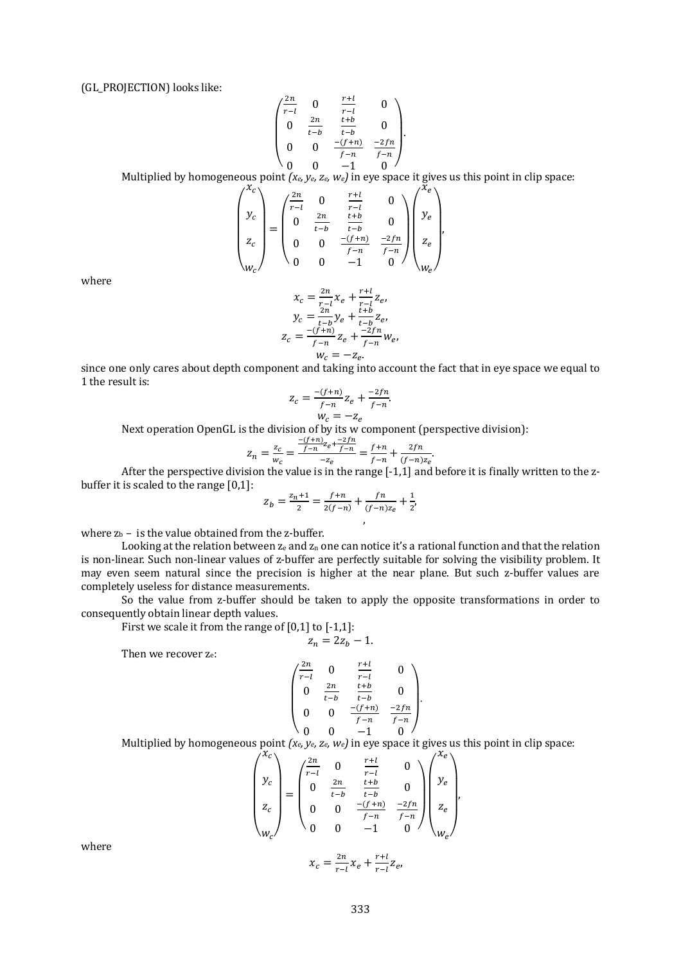(GL\_PROJECTION) looks like:

$$
\begin{pmatrix}\n\frac{2n}{r-l} & 0 & \frac{r+l}{r-l} & 0 \\
0 & \frac{2n}{t-b} & \frac{t+b}{t-b} & 0 \\
0 & 0 & \frac{-(f+n)}{f-n} & \frac{-2fn}{f-n} \\
0 & 0 & -1 & 0\n\end{pmatrix}
$$

Multiplied by homogeneous point  $(x_e, y_e, z_e, w_e)$  in eye space it gives us this point in clip space:

$$
\begin{pmatrix} x_c \\ y_c \\ z_c \\ w_c \end{pmatrix} = \begin{pmatrix} \frac{2n}{r-l} & 0 & \frac{r+l}{r-l} & 0 \\ 0 & \frac{2n}{t-b} & \frac{t+b}{t-b} & 0 \\ 0 & 0 & \frac{-(f+n)}{f-n} & \frac{-2fn}{f-n} \\ 0 & 0 & -1 & 0 \end{pmatrix} \begin{pmatrix} x_e \\ y_e \\ z_e \\ w_e \end{pmatrix},
$$

where

$$
x_c = \frac{2n}{r-l} x_e + \frac{r+l}{r-l} z_e,
$$
  
\n
$$
y_c = \frac{2n}{t-b} y_e + \frac{t+b}{t-b} z_e,
$$
  
\n
$$
z_c = \frac{-(f+n)}{f-n} z_e + \frac{-2fn}{f-n} w_e,
$$
  
\n
$$
w_c = -z_e.
$$

since one only cares about depth component and taking into account the fact that in eye space we equal to 1 the result is:

$$
z_c = \frac{-(f+n)}{f-n} z_e + \frac{-2fn}{f-n}.
$$

$$
w_c = -z_e
$$

Next operation OpenGL is the division of by its w component (perspective division):

$$
z_n = \frac{z_c}{w_c} = \frac{\frac{-(f+n)}{f-n}z_e + \frac{-2fn}{f-n}}{-z_e} = \frac{f+n}{f-n} + \frac{2fn}{(f-n)z_e}.
$$

After the perspective division the value is in the range [-1,1] and before it is finally written to the zbuffer it is scaled to the range [0,1]:

$$
z_b = \frac{z_{n+1}}{2} = \frac{f+n}{2(f-n)} + \frac{fn}{(f-n)z_e} + \frac{1}{2},
$$

where  $z_b$  – is the value obtained from the z-buffer.

Looking at the relation between  $z_e$  and  $z_n$  one can notice it's a rational function and that the relation is non-linear. Such non-linear values of z-buffer are perfectly suitable for solving the visibility problem. It may even seem natural since the precision is higher at the near plane. But such z-buffer values are completely useless for distance measurements.

So the value from z-buffer should be taken to apply the opposite transformations in order to consequently obtain linear depth values.

First we scale it from the range of [0,1] to [-1,1]:  $z_n = 2z_n - 1.$ 

Then we recover 
$$
z_e
$$
:

$$
\begin{pmatrix}\n\frac{2n}{r-l} & 0 & \frac{r+l}{r-l} & 0 \\
0 & \frac{2n}{t-b} & \frac{t+b}{t-b} & 0 \\
0 & 0 & \frac{-(f+n)}{f-n} & \frac{-2fn}{f-n} \\
0 & 0 & -1 & 0\n\end{pmatrix}.
$$

Multiplied by homogeneous point  $(x_e, y_e, z_e, w_e)$  in eye space it gives us this point in clip space:

$$
\begin{pmatrix} x_c \\ y_c \\ z_c \\ w_c \end{pmatrix} = \begin{pmatrix} \frac{2n}{r-l} & 0 & \frac{r+l}{r-l} & 0 \\ 0 & \frac{2n}{t-b} & \frac{t+b}{t-b} & 0 \\ 0 & 0 & \frac{-(f+n)}{f-n} & \frac{-2fn}{f-n} \\ 0 & 0 & -1 & 0 \end{pmatrix} \begin{pmatrix} x_e \\ y_e \\ z_e \\ w_e \end{pmatrix}
$$

$$
x_c = \frac{2n}{r-l} x_e + \frac{r+l}{r-l} z_e,
$$

,

where

 $\frac{1+i}{r-l}Z_e$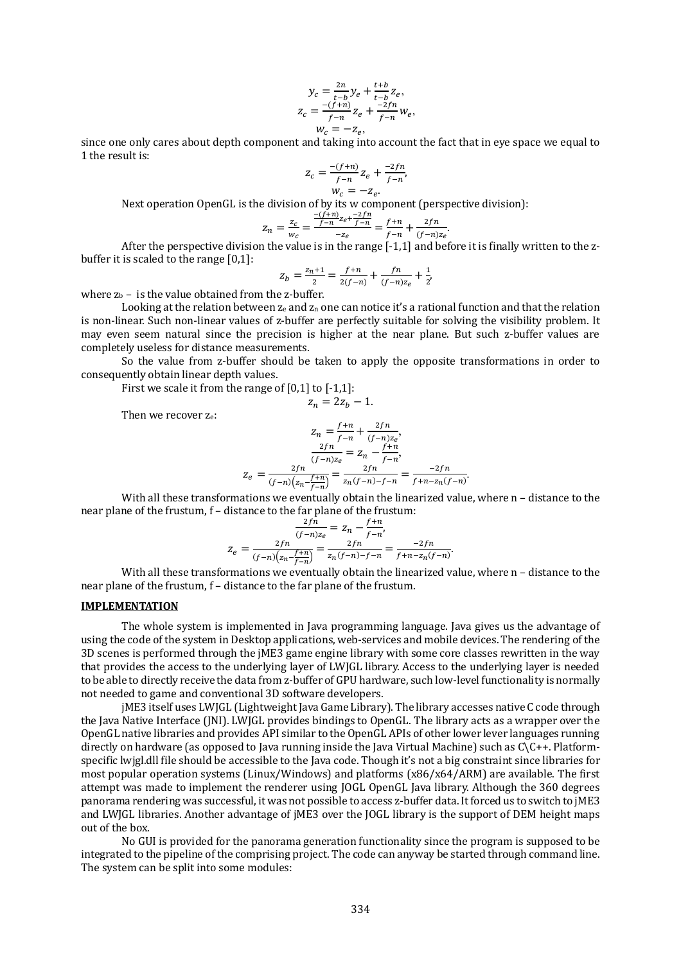$$
y_c = \frac{2n}{t-b} y_e + \frac{t+b}{t-b} z_e,
$$
  
\n
$$
z_c = \frac{-(f+n)}{f-n} z_e + \frac{-2fn}{f-n} w_e,
$$
  
\n
$$
w_c = -z_e,
$$

since one only cares about depth component and taking into account the fact that in eye space we equal to 1 the result is:

$$
z_c = \frac{-(f+n)}{f-n} z_e + \frac{-2fn}{f-n},
$$
  

$$
w_c = -z_e.
$$

Next operation OpenGL is the division of by its w component (perspective division):

$$
Z_n = \frac{z_c}{w_c} = \frac{\frac{-(f+n)}{f-n}z_e + \frac{-2fn}{f-n}}{-z_e} = \frac{f+n}{f-n} + \frac{2fn}{(f-n)z_e}.
$$

After the perspective division the value is in the range [-1,1] and before it is finally written to the zbuffer it is scaled to the range [0,1]:

$$
Z_b = \frac{z_n + 1}{2} = \frac{f + n}{2(f - n)} + \frac{fn}{(f - n)z_e} + \frac{1}{2},
$$

where  $z_b$  – is the value obtained from the z-buffer.

Looking at the relation between  $z_e$  and  $z_n$  one can notice it's a rational function and that the relation is non-linear. Such non-linear values of z-buffer are perfectly suitable for solving the visibility problem. It may even seem natural since the precision is higher at the near plane. But such z-buffer values are completely useless for distance measurements.

So the value from z-buffer should be taken to apply the opposite transformations in order to consequently obtain linear depth values.

 $z_n = 2z_h - 1.$ 

First we scale it from the range of [0,1] to [-1,1]:

Then we recover ze:

$$
Z_n = \frac{f+n}{f-n} + \frac{2fn}{(f-n)z_e},
$$

$$
\frac{2fn}{(f-n)z_e} = Z_n - \frac{f+n}{f-n},
$$

$$
Z_e = \frac{2fn}{(f-n)(z_n - \frac{f+n}{f-n})} = \frac{2fn}{z_n(f-n) - f-n} = \frac{-2fn}{f+n - z_n(f-n)}.
$$

With all these transformations we eventually obtain the linearized value, where n - distance to the near plane of the frustum, f – distance to the far plane of the frustum:

$$
\frac{2fn}{(f-n)z_e} = z_n - \frac{f+n}{f-n'},
$$

$$
z_e = \frac{2fn}{(f-n)\left(z_n - \frac{f+n}{f-n}\right)} = \frac{2fn}{z_n(f-n) - f-n} = \frac{-2fn}{f+n - z_n(f-n)}.
$$

With all these transformations we eventually obtain the linearized value, where n - distance to the near plane of the frustum, f – distance to the far plane of the frustum.

#### **IMPLEMENTATION**

The whole system is implemented in Java programming language. Java gives us the advantage of using the code of the system in Desktop applications, web-services and mobile devices. The rendering of the 3D scenes is performed through the jME3 game engine library with some core classes rewritten in the way that provides the access to the underlying layer of LWJGL library. Access to the underlying layer is needed to be able to directly receive the data from z-buffer of GPU hardware, such low-level functionality is normally not needed to game and conventional 3D software developers.

jME3 itself uses LWJGL (Lightweight Java Game Library). The library accesses native C code through the Java Native Interface (JNI). LWJGL provides bindings to OpenGL. The library acts as a wrapper over the OpenGL native libraries and provides API similar to the OpenGL APIs of other lower lever languages running directly on hardware (as opposed to Java running inside the Java Virtual Machine) such as C\C++. Platformspecific lwjgl.dll file should be accessible to the Java code. Though it's not a big constraint since libraries for most popular operation systems (Linux/Windows) and platforms (x86/x64/ARM) are available. The first attempt was made to implement the renderer using JOGL OpenGL Java library. Although the 360 degrees panorama rendering was successful, it was not possible to access z-buffer data. It forced us to switch to jME3 and LWJGL libraries. Another advantage of jME3 over the JOGL library is the support of DEM height maps out of the box.

No GUI is provided for the panorama generation functionality since the program is supposed to be integrated to the pipeline of the comprising project. The code can anyway be started through command line. The system can be split into some modules: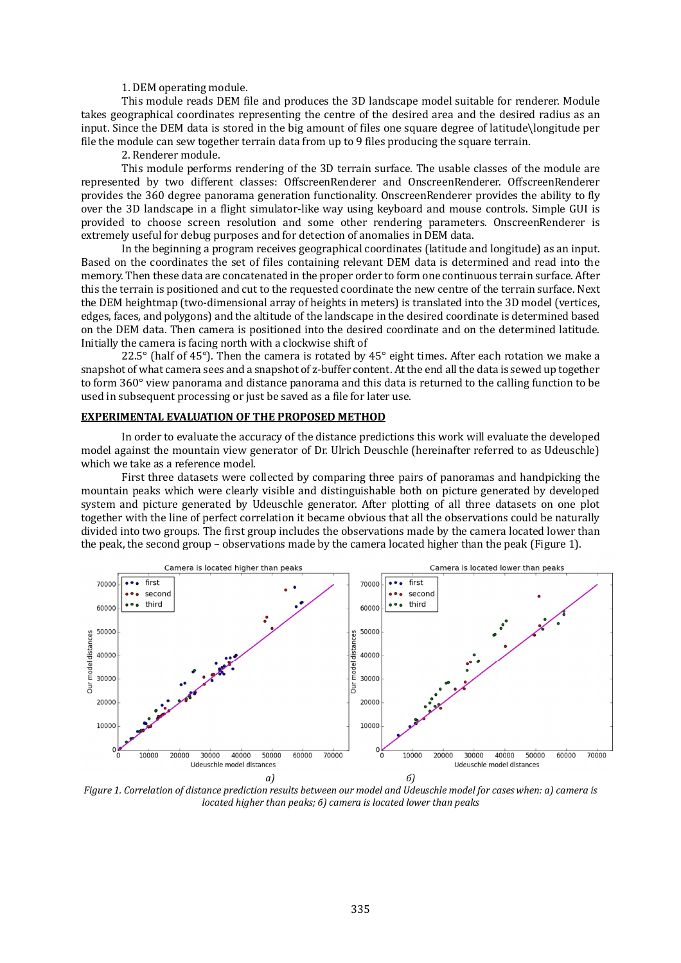#### 1. DEM operating module.

This module reads DEM file and produces the 3D landscape model suitable for renderer. Module takes geographical coordinates representing the centre of the desired area and the desired radius as an input. Since the DEM data is stored in the big amount of files one square degree of latitude\longitude per file the module can sew together terrain data from up to 9 files producing the square terrain.

2. Renderer module.

This module performs rendering of the 3D terrain surface. The usable classes of the module are represented by two different classes: OffscreenRenderer and OnscreenRenderer. OffscreenRenderer provides the 360 degree panorama generation functionality. OnscreenRenderer provides the ability to fly over the 3D landscape in a flight simulator-like way using keyboard and mouse controls. Simple GUI is provided to choose screen resolution and some other rendering parameters. OnscreenRenderer is extremely useful for debug purposes and for detection of anomalies in DEM data.

In the beginning a program receives geographical coordinates (latitude and longitude) as an input. Based on the coordinates the set of files containing relevant DEM data is determined and read into the memory. Then these data are concatenated in the proper order to form one continuous terrain surface. After this the terrain is positioned and cut to the requested coordinate the new centre of the terrain surface. Next the DEM heightmap (two-dimensional array of heights in meters) is translated into the 3D model (vertices, edges, faces, and polygons) and the altitude of the landscape in the desired coordinate is determined based on the DEM data. Then camera is positioned into the desired coordinate and on the determined latitude. Initially the camera is facing north with a clockwise shift of

22.5 $\degree$  (half of 45 $\degree$ ). Then the camera is rotated by 45 $\degree$  eight times. After each rotation we make a snapshot of what camera sees and a snapshot of z-buffer content. At the end all the data is sewed up together to form 360° view panorama and distance panorama and this data is returned to the calling function to be used in subsequent processing or just be saved as a file for later use.

#### **EXPERIMENTAL EVALUATION OF THE PROPOSED METHOD**

In order to evaluate the accuracy of the distance predictions this work will evaluate the developed model against the mountain view generator of Dr. Ulrich Deuschle (hereinafter referred to as Udeuschle) which we take as a reference model.

First three datasets were collected by comparing three pairs of panoramas and handpicking the mountain peaks which were clearly visible and distinguishable both on picture generated by developed system and picture generated by Udeuschle generator. After plotting of all three datasets on one plot together with the line of perfect correlation it became obvious that all the observations could be naturally divided into two groups. The first group includes the observations made by the camera located lower than the peak, the second group – observations made by the camera located higher than the peak (Figure 1).



*Figure 1. Correlation of distance prediction results between our model and Udeuschle model for cases when: a) camera is located higher than peaks;* 6) camera is located lower than peaks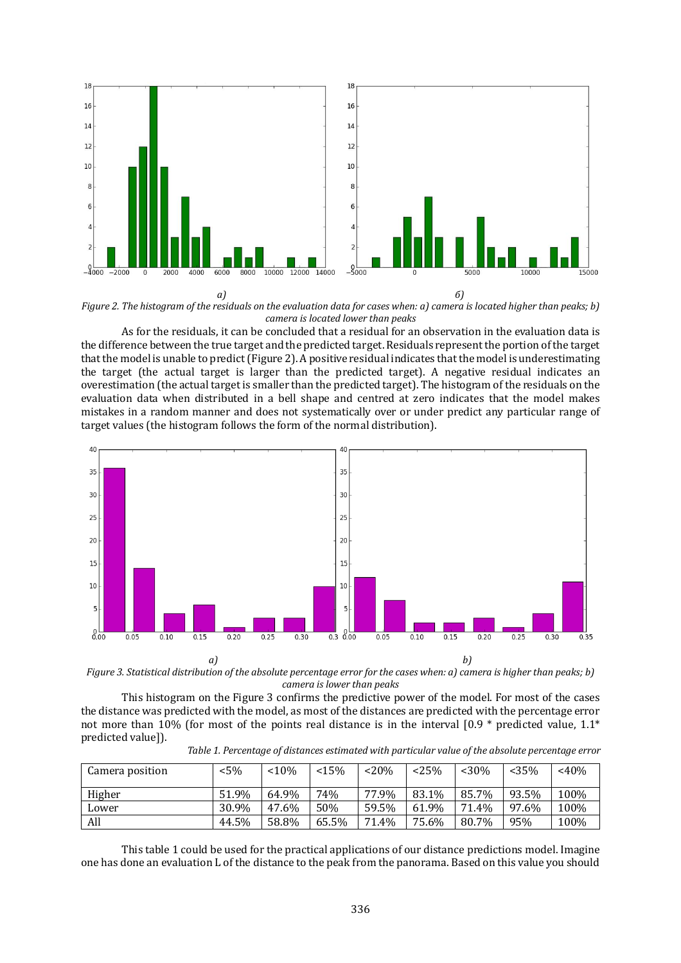

*Figure 2. The histogram of the residuals on the evaluation data for cases when: a) camera is located higher than peaks; b) camera is located lower than peaks*

As for the residuals, it can be concluded that a residual for an observation in the evaluation data is the difference between the true target and the predicted target. Residuals represent the portion of the target that the model is unable to predict (Figure 2). A positive residual indicates that the model is underestimating the target (the actual target is larger than the predicted target). A negative residual indicates an overestimation (the actual target is smaller than the predicted target). The histogram of the residuals on the evaluation data when distributed in a bell shape and centred at zero indicates that the model makes mistakes in a random manner and does not systematically over or under predict any particular range of target values (the histogram follows the form of the normal distribution).



*Figure* 3. Statistical distribution of the absolute percentage error for the cases when: a) camera is higher than peaks; b) *camera is lower than peaks*

This histogram on the Figure 3 confirms the predictive power of the model. For most of the cases the distance was predicted with the model, as most of the distances are predicted with the percentage error not more than 10% (for most of the points real distance is in the interval  $[0.9 *$  predicted value, 1.1\* predicted value]).

Table 1. Percentage of distances estimated with particular value of the absolute percentage error

| Camera position | $5\%$ | < 10% | < 15% | $~120\%$ | < 25% | $<$ 30% | < 35% | $~40\%$ |
|-----------------|-------|-------|-------|----------|-------|---------|-------|---------|
| Higher          | 51.9% | 64.9% | 74%   | 77.9%    | 83.1% | 85.7%   | 93.5% | 100%    |
| Lower           | 30.9% | 47.6% | 50%   | 59.5%    | 61.9% | 71.4%   | 97.6% | 100%    |
| All             | 44.5% | 58.8% | 65.5% | 71.4%    | 75.6% | 80.7%   | 95%   | 100%    |

This table 1 could be used for the practical applications of our distance predictions model. Imagine one has done an evaluation L of the distance to the peak from the panorama. Based on this value you should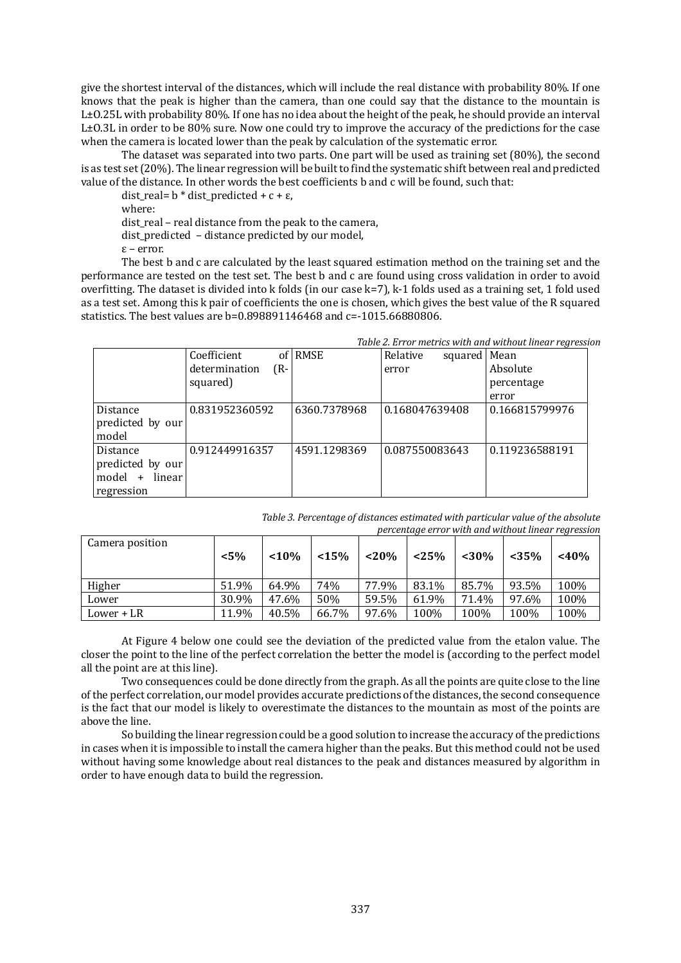give the shortest interval of the distances, which will include the real distance with probability 80%. If one knows that the peak is higher than the camera, than one could say that the distance to the mountain is L±O.25L with probability 80%. If one has no idea about the height of the peak, he should provide an interval L±O.3L in order to be 80% sure. Now one could try to improve the accuracy of the predictions for the case when the camera is located lower than the peak by calculation of the systematic error.

The dataset was separated into two parts. One part will be used as training set (80%), the second is as test set (20%). The linear regression will be built to find the systematic shift between real and predicted value of the distance. In other words the best coefficients b and c will be found, such that:

dist real=  $b *$  dist predicted + c +  $\varepsilon$ ,

where:

dist real – real distance from the peak to the camera,

dist predicted – distance predicted by our model,

ε – error.

The best b and c are calculated by the least squared estimation method on the training set and the performance are tested on the test set. The best b and c are found using cross validation in order to avoid overfitting. The dataset is divided into k folds (in our case k=7), k-1 folds used as a training set, 1 fold used as a test set. Among this k pair of coefficients the one is chosen, which gives the best value of the R squared statistics. The best values are b=0.898891146468 and c=-1015.66880806.

|                     | Table 2. Error metrics with and without linear regressio |              |                          |                |  |  |
|---------------------|----------------------------------------------------------|--------------|--------------------------|----------------|--|--|
|                     | Coefficient                                              | of RMSE      | squared Mean<br>Relative |                |  |  |
|                     | determination<br>(R-                                     |              | error                    | Absolute       |  |  |
|                     | squared)                                                 |              |                          | percentage     |  |  |
|                     |                                                          |              |                          | error          |  |  |
| Distance            | 0.831952360592                                           | 6360.7378968 | 0.168047639408           | 0.166815799976 |  |  |
| predicted by our    |                                                          |              |                          |                |  |  |
| model               |                                                          |              |                          |                |  |  |
| Distance            | 0.912449916357                                           | 4591.1298369 | 0.087550083643           | 0.119236588191 |  |  |
| predicted by our    |                                                          |              |                          |                |  |  |
| model +<br>linear l |                                                          |              |                          |                |  |  |
| regression          |                                                          |              |                          |                |  |  |

# *Table 2.* Error metrics with and without linear regression

Table 3. Percentage of distances estimated with particular value of the absolute *percentage error with and without linear regression*

| Camera position | $< 5\%$ | < 10% | < 15% | $<$ 20% | $\epsilon$<br>< 25% | $<$ 30% | < 35% | $\epsilon$<br>$<$ 40% |
|-----------------|---------|-------|-------|---------|---------------------|---------|-------|-----------------------|
| Higher          | 51.9%   | 64.9% | 74%   | 77.9%   | 83.1%               | 85.7%   | 93.5% | 100%                  |
| Lower           | 30.9%   | 47.6% | 50%   | 59.5%   | 61.9%               | 71.4%   | 97.6% | 100%                  |
| Lower + LR      | 11.9%   | 40.5% | 66.7% | 97.6%   | 100%                | 100%    | 100%  | 100%                  |

At Figure 4 below one could see the deviation of the predicted value from the etalon value. The closer the point to the line of the perfect correlation the better the model is (according to the perfect model all the point are at this line).

Two consequences could be done directly from the graph. As all the points are quite close to the line of the perfect correlation, our model provides accurate predictions of the distances, the second consequence is the fact that our model is likely to overestimate the distances to the mountain as most of the points are above the line.

So building the linear regression could be a good solution to increase the accuracy of the predictions in cases when it is impossible to install the camera higher than the peaks. But this method could not be used without having some knowledge about real distances to the peak and distances measured by algorithm in order to have enough data to build the regression.